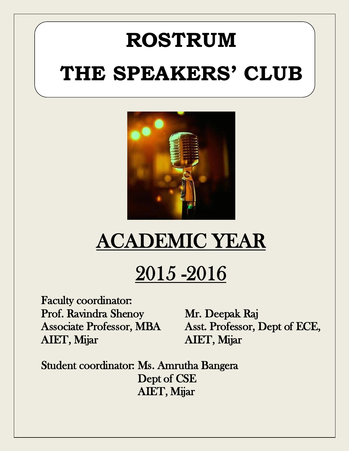# **ROSTRUM THE SPEAKERS' CLUB**



# ACADEMIC YEAR

# 2015 -2016

Faculty coordinator: Prof. Ravindra Shenoy Mr. Deepak Raj AIET, Mijar AIET, Mijar

Associate Professor, MBA Asst. Professor, Dept of ECE,

Student coordinator: Ms. Amrutha Bangera Dept of CSE AIET, Mijar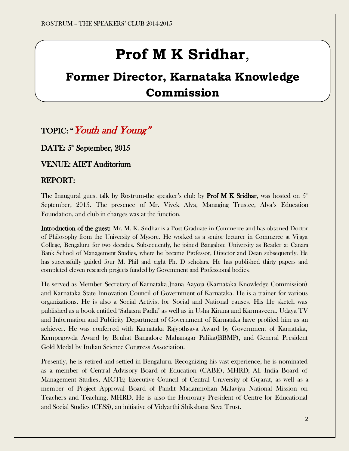## **Prof M K Sridhar**,

## **Former Director, Karnataka Knowledge Commission**

### TOPIC: "Youth and Young"

DATE:  $5^{\circ}$  September, 2015

VENUE: AIET Auditorium

#### REPORT:

The Inaugural guest talk by Rostrum-the speaker's club by Prof M K Sridhar, was hosted on  $5^{\text{\tiny th}}$ September, 2015. The presence of Mr. Vivek Alva, Managing Trustee, Alva's Education Foundation, and club in charges was at the function.

Introduction of the guest: Mr. M. K. Sridhar is a Post Graduate in Commerce and has obtained Doctor of Philosophy from the University of Mysore. He worked as a senior lecturer in Commerce at Vijaya College, Bengaluru for two decades. Subsequently, he joined Bangalore University as Reader at Canara Bank School of Management Studies, where he became Professor, Director and Dean subsequently. He has successfully guided four M. Phil and eight Ph. D scholars. He has published thirty papers and completed eleven research projects funded by Government and Professional bodies.

He served as Member Secretary of Karnataka Jnana Aayoja (Karnataka Knowledge Commission) and Karnataka State Innovation Council of Government of Karnataka. He is a trainer for various organizations. He is also a Social Activist for Social and National causes. His life sketch was published as a book entitled 'Sahasra Padhi' as well as in Usha Kirana and Karmaveera. Udaya TV and Information and Publicity Department of Government of Karnataka have profiled him as an achiever. He was conferred with Karnataka Rajyothsava Award by Government of Karnataka, Kempegowda Award by Bruhat Bangalore Mahanagar Palika(BBMP), and General President Gold Medal by Indian Science Congress Association.

Presently, he is retired and settled in Bengaluru. Recognizing his vast experience, he is nominated as a member of Central Advisory Board of Education (CABE), MHRD; All India Board of Management Studies, AICTE; Executive Council of Central University of Gujarat, as well as a member of Project Approval Board of Pandit Madanmohan Malaviya National Mission on Teachers and Teaching, MHRD. He is also the Honorary President of Centre for Educational and Social Studies (CESS), an initiative of Vidyarthi Shikshana Seva Trust.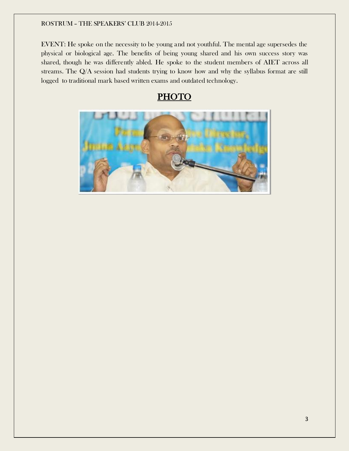EVENT: He spoke on the necessity to be young and not youthful. The mental age supersedes the physical or biological age. The benefits of being young shared and his own success story was shared, though he was differently abled. He spoke to the student members of AIET across all streams. The Q/A session had students trying to know how and why the syllabus format are still logged to traditional mark based written exams and outdated technology.

### **PHOTO**

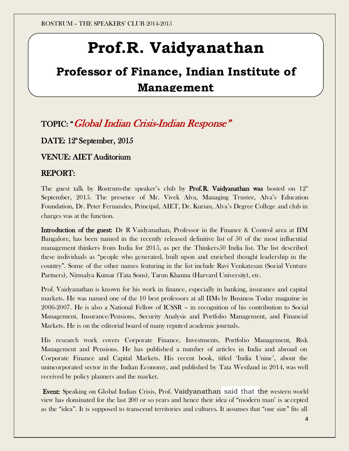# **Prof.R. Vaidyanathan**

## **Professor of Finance, Indian Institute of Management**

### TOPIC: "Global Indian Crisis-Indian Response"

DATE: 12<sup>th</sup> September, 2015

VENUE: AIET Auditorium

### REPORT:

The guest talk by Rostrum-the speaker's club by **Prof.R. Vaidyanathan was** hosted on  $12<sup>th</sup>$ September, 2015. The presence of Mr. Vivek Alva, Managing Trustee, Alva's Education Foundation, Dr. Peter Fernandes, Principal, AIET, Dr. Kurian, Alva's Degree College and club in charges was at the function.

Introduction of the guest: Dr R Vaidyanathan, Professor in the Finance & Control area at IIM Bangalore, has been named in the recently released definitive list of 50 of the most influential management thinkers from India for 2015, as per the Thinkers50 India list. The list described these individuals as "people who generated, built upon and enriched thought leadership in the country". Some of the other names featuring in the list include Ravi Venkatesan (Social Venture Partners), Nirmalya Kumar (Tata Sons), Tarun Khanna (Harvard University), etc.

Prof. Vaidyanathan is known for his work in finance, especially in banking, insurance and capital markets. He was named one of the 10 best professors at all IIMs by Business Today magazine in 2006-2007. He is also a National Fellow of ICSSR – in recognition of his contribution to Social Management, Insurance/Pensions, Security Analysis and Portfolio Management, and Financial Markets. He is on the editorial board of many reputed academic journals.

His research work covers Corporate Finance, Investments, Portfolio Management, Risk Management and Pensions. He has published a number of articles in India and abroad on Corporate Finance and Capital Markets. His recent book, titled 'India Uninc', about the unincorporated sector in the Indian Economy, and published by Tata Westland in 2014, was well received by policy planners and the market.

 Event: Speaking on Global Indian Crisis, Prof. Vaidyanathan said that the western world view has dominated for the last 200 or so years and hence their idea of "modern man' is ac cepted as the "idea". It is supposed to transcend territories and cultures. It assumes that "one size" fits all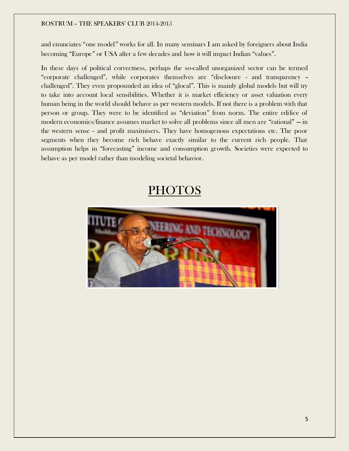and enunciates "one model" works for all. In many seminars I am asked by foreigners about India becoming "Europe" or USA after a few decades and how it will impact Indian "values".

In these days of political correctness, perhaps the so-called unorganized sector can be termed "corporate challenged", while corporates themselves are "disclosure - and transparency – challenged". They even propounded an idea of "glocal". This is mainly global models but will try to take into account local sensibilities. Whether it is market efficiency or asset valuation every human being in the world should behave as per western models. If not there is a problem with that person or group. They were to be identified as "deviation" from norm. The entire edifice of modern economics/finance assumes market to solve all problems since all men are "rational" — in the western sense - and profit maximisers. They have homogenous expectations etc. The poor segments when they become rich behave exactly similar to the current rich people. That assumption helps in "forecasting" income and consumption growth. Societies were expected to behave as per model rather than modeling societal behavior.

### **PHOTOS**

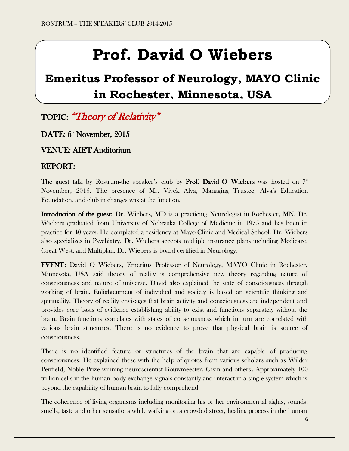# **Prof. David O Wiebers**

## **Emeritus Professor of Neurology, MAYO Clinic in Rochester, Minnesota, USA**

TOPIC: "Theory of Relativity"

DATE: 6<sup>th</sup> November, 2015

VENUE: AIET Auditorium

### REPORT:

The guest talk by Rostrum-the speaker's club by **Prof. David O Wiebers** was hosted on  $7<sup>th</sup>$ November, 2015. The presence of Mr. Vivek Alva, Managing Trustee, Alva's Education Foundation, and club in charges was at the function.

Introduction of the guest: Dr. Wiebers, MD is a practicing Neurologist in Rochester, MN. Dr. Wiebers graduated from University of Nebraska College of Medicine in 1975 and has been in practice for 40 years. He completed a residency at Mayo Clinic and Medical School. Dr. Wiebers also specializes in Psychiatry. Dr. Wiebers accepts multiple insurance plans including Medicare, Great West, and Multiplan. Dr. Wiebers is board certified in Neurology.

EVENT: David O Wiebers, Emeritus Professor of Neurology, MAYO Clinic in Rochester, Minnesota, USA said theory of reality is comprehensive new theory regarding nature of consciousness and nature of universe. David also explained the state of consciousness through working of brain. Enlightenment of individual and society is based on scientific thinking and spirituality. Theory of reality envisages that brain activity and consciousness are independent and provides core basis of evidence establishing ability to exist and functions separately without the brain. Brain functions correlates with states of consciousness which in turn are correlated with various brain structures. There is no evidence to prove that physical brain is source of consciousness.

There is no identified feature or structures of the brain that are capable of producing consciousness. He explained these with the help of quotes from various scholars such as Wilder Penfield, Noble Prize winning neuroscientist Bouwmeester, Gisin and others. Approximately 100 trillion cells in the human body exchange signals constantly and interact in a single system which is beyond the capability of human brain to fully comprehend.

The coherence of living organisms including monitoring his or her environmental sights, sounds, smells, taste and other sensations while walking on a crowded street, healing process in the human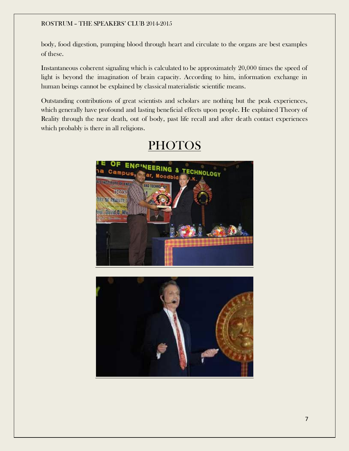body, food digestion, pumping blood through heart and circulate to the organs are best examples of these.

Instantaneous coherent signaling which is calculated to be approximately 20,000 times the speed of light is beyond the imagination of brain capacity. According to him, information exchange in human beings cannot be explained by classical materialistic scientific means.

Outstanding contributions of great scientists and scholars are nothing but the peak experiences, which generally have profound and lasting beneficial effects upon people. He explained Theory of Reality through the near death, out of body, past life recall and after death contact experiences which probably is there in all religions.



### **PHOTOS**

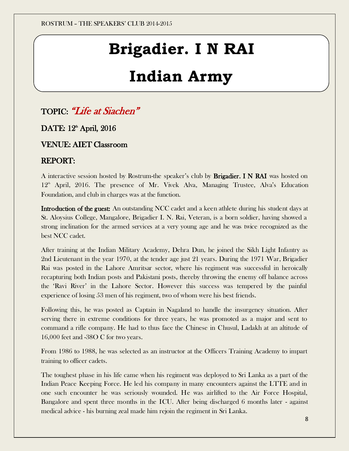# **Brigadier. I N RAI**

# **Indian Army**

### TOPIC: "Life at Siachen"

### DATE: 12<sup>th</sup> April, 2016

### VENUE: AIET Classroom

### REPORT:

A interactive session hosted by Rostrum-the speaker's club by Brigadier. I N RAI was hosted on  $12<sup>th</sup>$  April, 2016. The presence of Mr. Vivek Alva, Managing Trustee, Alva's Education Foundation, and club in charges was at the function.

Introduction of the guest: An outstanding NCC cadet and a keen athlete during his student days at St. Aloysius College, Mangalore, Brigadier I. N. Rai, Veteran, is a born soldier, having showed a strong inclination for the armed services at a very young age and he was twice recognized as the best NCC cadet.

After training at the Indian Military Academy, Dehra Dun, he joined the Sikh Light Infantry as 2nd Lieutenant in the year 1970, at the tender age just 21 years. During the 1971 War, Brigadier Rai was posted in the Lahore Amritsar sector, where his regiment was successful in heroically recapturing both Indian posts and Pakistani posts, thereby throwing the enemy off balance across the 'Ravi River' in the Lahore Sector. However this success was tempered by the painful experience of losing 53 men of his regiment, two of whom were his best friends.

Following this, he was posted as Captain in Nagaland to handle the insurgency situation. After serving there in extreme conditions for three years, he was promoted as a major and sent to command a rifle company. He had to thus face the Chinese in Chusul, Ladakh at an altitude of 16,000 feet and -38O C for two years.

From 1986 to 1988, he was selected as an instructor at the Officers Training Academy to impart training to officer cadets.

The toughest phase in his life came when his regiment was deployed to Sri Lanka as a part of the Indian Peace Keeping Force. He led his company in many encounters against the LTTE and in one such encounter he was seriously wounded. He was airlifted to the Air Force Hospital, Bangalore and spent three months in the ICU. After being discharged 6 months later - against medical advice - his burning zeal made him rejoin the regiment in Sri Lanka.